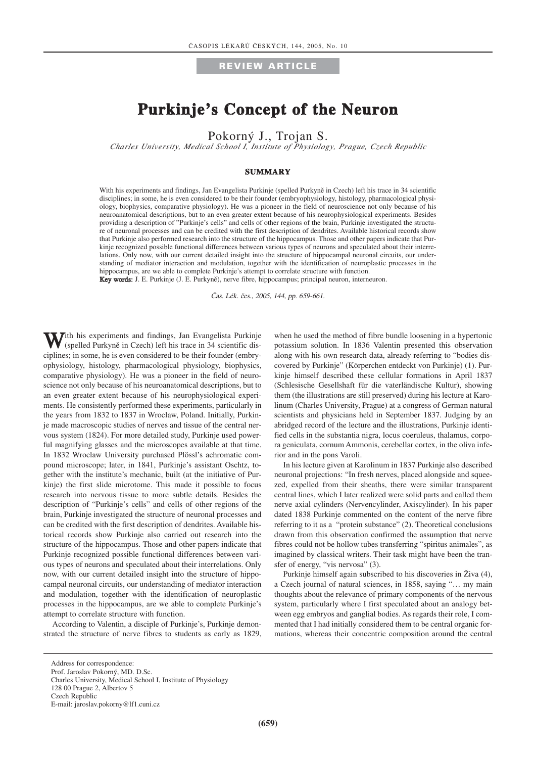### **REVIEW ARTICLE**

## **Purkinje's Concept of the Neuron**

Pokorný J., Trojan S.

*Charles University, Medical School I, Institute of Physiology, Prague, Czech Republic*

#### **SUMMARY**

With his experiments and findings, Jan Evangelista Purkinje (spelled Purkyně in Czech) left his trace in 34 scientific disciplines; in some, he is even considered to be their founder (embryophysiology, histology, pharmacological physiology, biophysics, comparative physiology). He was a pioneer in the field of neuroscience not only because of his neuroanatomical descriptions, but to an even greater extent because of his neurophysiological experiments. Besides providing a description of "Purkinje's cells" and cells of other regions of the brain, Purkinje investigated the structure of neuronal processes and can be credited with the first description of dendrites. Available historical records show that Purkinje also performed research into the structure of the hippocampus. Those and other papers indicate that Purkinje recognized possible functional differences between various types of neurons and speculated about their interrelations. Only now, with our current detailed insight into the structure of hippocampal neuronal circuits, our understanding of mediator interaction and modulation, together with the identification of neuroplastic processes in the hippocampus, are we able to complete Purkinje's attempt to correlate structure with function.

Key words: J. E. Purkinje (J. E. Purkyně), nerve fibre, hippocampus; principal neuron, interneuron.

Čas. Lék. čes., 2005, 144, pp. 659-661.

With his experiments and findings, Jan Evangelista Purkinje (spelled Purkyně in Czech) left his trace in 34 scientific disciplines; in some, he is even considered to be their founder (embryophysiology, histology, pharmacological physiology, biophysics, comparative physiology). He was a pioneer in the field of neuroscience not only because of his neuroanatomical descriptions, but to an even greater extent because of his neurophysiological experiments. He consistently performed these experiments, particularly in the years from 1832 to 1837 in Wroclaw, Poland. Initially, Purkinje made macroscopic studies of nerves and tissue of the central nervous system (1824). For more detailed study, Purkinje used powerful magnifying glasses and the microscopes available at that time. In 1832 Wroclaw University purchased Plössl's achromatic compound microscope; later, in 1841, Purkinje's assistant Oschtz, together with the institute's mechanic, built (at the initiative of Purkinje) the first slide microtome. This made it possible to focus research into nervous tissue to more subtle details. Besides the description of "Purkinje's cells" and cells of other regions of the brain, Purkinje investigated the structure of neuronal processes and can be credited with the first description of dendrites. Available historical records show Purkinje also carried out research into the structure of the hippocampus. Those and other papers indicate that Purkinje recognized possible functional differences between various types of neurons and speculated about their interrelations. Only now, with our current detailed insight into the structure of hippocampal neuronal circuits, our understanding of mediator interaction and modulation, together with the identification of neuroplastic processes in the hippocampus, are we able to complete Purkinje's attempt to correlate structure with function.

According to Valentin, a disciple of Purkinje's, Purkinje demonstrated the structure of nerve fibres to students as early as 1829,

when he used the method of fibre bundle loosening in a hypertonic potassium solution. In 1836 Valentin presented this observation along with his own research data, already referring to "bodies discovered by Purkinje" (Körperchen entdeckt von Purkinje) (1). Purkinje himself described these cellular formations in April 1837 (Schlesische Gesellshaft für die vaterländische Kultur), showing them (the illustrations are still preserved) during his lecture at Karolinum (Charles University, Prague) at a congress of German natural scientists and physicians held in September 1837. Judging by an abridged record of the lecture and the illustrations, Purkinje identified cells in the substantia nigra, locus coeruleus, thalamus, corpora geniculata, cornum Ammonis, cerebellar cortex, in the oliva inferior and in the pons Varoli.

In his lecture given at Karolinum in 1837 Purkinje also described neuronal projections: "In fresh nerves, placed alongside and squeezed, expelled from their sheaths, there were similar transparent central lines, which I later realized were solid parts and called them nerve axial cylinders (Nervencylinder, Axiscylinder). In his paper dated 1838 Purkinje commented on the content of the nerve fibre referring to it as a "protein substance" (2). Theoretical conclusions drawn from this observation confirmed the assumption that nerve fibres could not be hollow tubes transferring "spiritus animales", as imagined by classical writers. Their task might have been the transfer of energy, "vis nervosa" (3).

Purkinje himself again subscribed to his discoveries in Živa (4), a Czech journal of natural sciences, in 1858, saying "… my main thoughts about the relevance of primary components of the nervous system, particularly where I first speculated about an analogy between egg embryos and ganglial bodies. As regards their role, I commented that I had initially considered them to be central organic formations, whereas their concentric composition around the central

Address for correspondence: Prof. Jaroslav Pokorný, MD. D.Sc.

Charles University, Medical School I, Institute of Physiology

<sup>128 00</sup> Prague 2, Albertov 5

Czech Republic

E-mail: jaroslav.pokorny@lf1.cuni.cz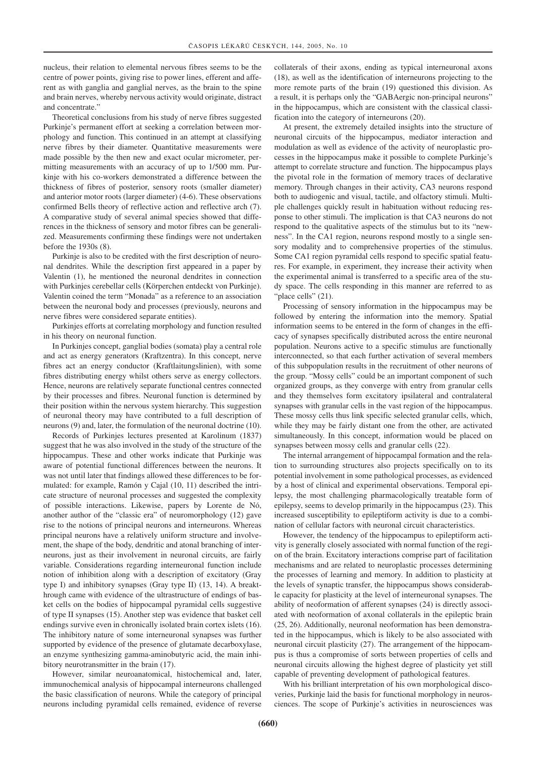nucleus, their relation to elemental nervous fibres seems to be the centre of power points, giving rise to power lines, efferent and afferent as with ganglia and ganglial nerves, as the brain to the spine and brain nerves, whereby nervous activity would originate, distract and concentrate."

Theoretical conclusions from his study of nerve fibres suggested Purkinje's permanent effort at seeking a correlation between morphology and function. This continued in an attempt at classifying nerve fibres by their diameter. Quantitative measurements were made possible by the then new and exact ocular micrometer, permitting measurements with an accuracy of up to 1/500 mm. Purkinje with his co-workers demonstrated a difference between the thickness of fibres of posterior, sensory roots (smaller diameter) and anterior motor roots (larger diameter) (4-6). These observations confirmed Bells theory of reflective action and reflective arch (7). A comparative study of several animal species showed that differences in the thickness of sensory and motor fibres can be generalized. Measurements confirming these findings were not undertaken before the 1930s (8).

Purkinje is also to be credited with the first description of neuronal dendrites. While the description first appeared in a paper by Valentin (1), he mentioned the neuronal dendrites in connection with Purkinjes cerebellar cells (Körperchen entdeckt von Purkinje). Valentin coined the term "Monada" as a reference to an association between the neuronal body and processes (previously, neurons and nerve fibres were considered separate entities).

Purkinjes efforts at correlating morphology and function resulted in his theory on neuronal function.

In Purkinjes concept, ganglial bodies (somata) play a central role and act as energy generators (Kraftzentra). In this concept, nerve fibres act an energy conductor (Kraftlaitungslinien), with some fibres distributing energy whilst others serve as energy collectors. Hence, neurons are relatively separate functional centres connected by their processes and fibres. Neuronal function is determined by their position within the nervous system hierarchy. This suggestion of neuronal theory may have contributed to a full description of neurons (9) and, later, the formulation of the neuronal doctrine (10).

Records of Purkinjes lectures presented at Karolinum (1837) suggest that he was also involved in the study of the structure of the hippocampus. These and other works indicate that Purkinje was aware of potential functional differences between the neurons. It was not until later that findings allowed these differences to be formulated: for example, Ramón y Cajal (10, 11) described the intricate structure of neuronal processes and suggested the complexity of possible interactions. Likewise, papers by Lorente de Nó, another author of the "classic era" of neuromorphology (12) gave rise to the notions of principal neurons and interneurons. Whereas principal neurons have a relatively uniform structure and involvement, the shape of the body, dendritic and atonal branching of interneurons, just as their involvement in neuronal circuits, are fairly variable. Considerations regarding interneuronal function include notion of inhibition along with a description of excitatory (Gray type I) and inhibitory synapses (Gray type II) (13, 14). A breakthrough came with evidence of the ultrastructure of endings of basket cells on the bodies of hippocampal pyramidal cells suggestive of type II synapses (15). Another step was evidence that basket cell endings survive even in chronically isolated brain cortex islets (16). The inhibitory nature of some interneuronal synapses was further supported by evidence of the presence of glutamate decarboxylase, an enzyme synthesizing gamma-aminobutyric acid, the main inhibitory neurotransmitter in the brain (17).

However, similar neuroanatomical, histochemical and, later, immunochemical analysis of hippocampal interneurons challenged the basic classification of neurons. While the category of principal neurons including pyramidal cells remained, evidence of reverse collaterals of their axons, ending as typical interneuronal axons (18), as well as the identification of interneurons projecting to the more remote parts of the brain (19) questioned this division. As a result, it is perhaps only the "GABAergic non-principal neurons" in the hippocampus, which are consistent with the classical classification into the category of interneurons (20).

At present, the extremely detailed insights into the structure of neuronal circuits of the hippocampus, mediator interaction and modulation as well as evidence of the activity of neuroplastic processes in the hippocampus make it possible to complete Purkinje's attempt to correlate structure and function. The hippocampus plays the pivotal role in the formation of memory traces of declarative memory. Through changes in their activity, CA3 neurons respond both to audiogenic and visual, tactile, and olfactory stimuli. Multiple challenges quickly result in habituation without reducing response to other stimuli. The implication is that CA3 neurons do not respond to the qualitative aspects of the stimulus but to its "newness". In the CA1 region, neurons respond mostly to a single sensory modality and to comprehensive properties of the stimulus. Some CA1 region pyramidal cells respond to specific spatial features. For example, in experiment, they increase their activity when the experimental animal is transferred to a specific area of the study space. The cells responding in this manner are referred to as "place cells" (21).

Processing of sensory information in the hippocampus may be followed by entering the information into the memory. Spatial information seems to be entered in the form of changes in the efficacy of synapses specifically distributed across the entire neuronal population. Neurons active to a specific stimulus are functionally interconnected, so that each further activation of several members of this subpopulation results in the recruitment of other neurons of the group. "Mossy cells" could be an important component of such organized groups, as they converge with entry from granular cells and they themselves form excitatory ipsilateral and contralateral synapses with granular cells in the vast region of the hippocampus. These mossy cells thus link specific selected granular cells, which, while they may be fairly distant one from the other, are activated simultaneously. In this concept, information would be placed on synapses between mossy cells and granular cells (22).

The internal arrangement of hippocampal formation and the relation to surrounding structures also projects specifically on to its potential involvement in some pathological processes, as evidenced by a host of clinical and experimental observations. Temporal epilepsy, the most challenging pharmacologically treatable form of epilepsy, seems to develop primarily in the hippocampus (23). This increased susceptibility to epileptiform activity is due to a combination of cellular factors with neuronal circuit characteristics.

However, the tendency of the hippocampus to epileptiform activity is generally closely associated with normal function of the region of the brain. Excitatory interactions comprise part of facilitation mechanisms and are related to neuroplastic processes determining the processes of learning and memory. In addition to plasticity at the levels of synaptic transfer, the hippocampus shows considerable capacity for plasticity at the level of interneuronal synapses. The ability of neoformation of afferent synapses (24) is directly associated with neoformation of axonal collaterals in the epileptic brain (25, 26). Additionally, neuronal neoformation has been demonstrated in the hippocampus, which is likely to be also associated with neuronal circuit plasticity (27). The arrangement of the hippocampus is thus a compromise of sorts between properties of cells and neuronal circuits allowing the highest degree of plasticity yet still capable of preventing development of pathological features.

With his brilliant interpretation of his own morphological discoveries, Purkinje laid the basis for functional morphology in neurosciences. The scope of Purkinje's activities in neurosciences was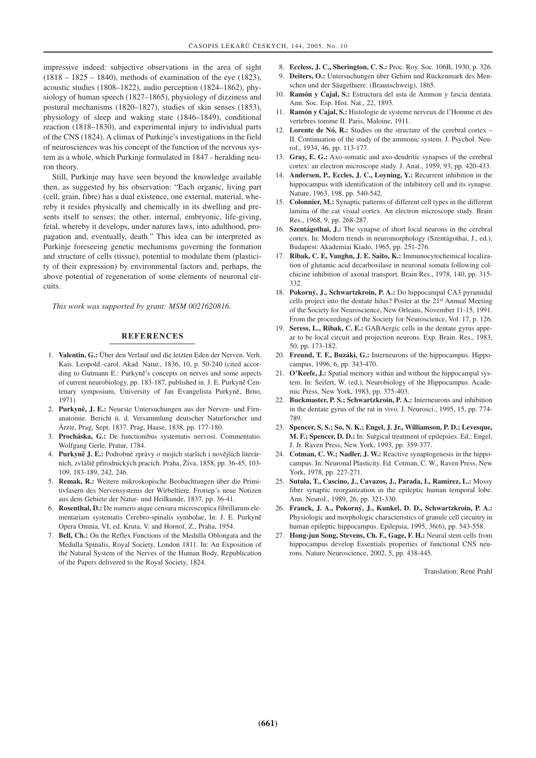impressive indeed: subjective observations in the area of sight (1818 – 1825 – 1840), methods of examination of the eye (1823), acoustic studies (1808–1822), audio perception (1824–1862), physiology of human speech (1827–1865), physiology of dizziness and postural mechanisms (1820–1827), studies of skin senses (1853), physiology of sleep and waking state (1846–1849), conditional reaction (1818–1830), and experimental injury to individual parts of the CNS (1824). A climax of Purkinje's investigations in the field of neurosciences was his concept of the function of the nervous system as a whole, which Purkinje formulated in 1847 - heralding neuron theory.

Still, Purkinje may have seen beyond the knowledge available then, as suggested by his observation: "Each organic, living part (cell, grain, fibre) has a dual existence, one external, material, whereby it resides physically and chemically in its dwelling and presents itself to senses; the other, internal, embryonic, life-giving, fetal, whereby it develops, under natures laws, into adulthood, propagation and, eventually, death." This idea can be interpreted as Purkinje foreseeing genetic mechanisms governing the formation and structure of cells (tissue), potential to modulate them (plasticity of their expression) by environmental factors and, perhaps, the above potential of regeneration of some elements of neuronal circuits.

*This work was supported by grant: MSM 0021620816.*

#### **REFERENCES**

- 1. **Valentin, G.:** Über den Verlauf und die letzten Eden der Nerven. Verh. Kais. Leopold.-carol. Akad. Natur., 1836, 10, p. 50-240 (cited according to Gutmann E.: Purkyně's concepts on nerves and some aspects of current neurobiology, pp. 183-187, published in. J. E. Purkyně Centenary symposium, University of Jan Evangelista Purkyně, Brno, 1971)
- 2. **Purkyně, J. E.:** Neueste Untersuchungen aus der Nerven- und Firnanatomie. Bericht ü. d. Versammlung deutscher Naturforscher und Ärzte, Prag, Sept. 1837. Prag, Haase, 1838, pp. 177-180.
- 3. **Procháska, G.:** De functionibus systematis nervosi. Commentatio. Wolfgang Gerle, Pratur, 1784.
- 4. **Purkyně J. E.:** Podrobné zprávy o mojích starších i novějších literárních, zvláště přírodnických pracích. Praha, Živa, 1858, pp. 36-45, 103- 109, 183-189, 242, 246.
- 5. **Remak, R.:** Weitere mikroskopische Beobachtungen über die Primitivfasern des Nervensystems der Wirbeltiere. Froriep´s neue Notizen aus dem Gebiete der Natur- und Heilkunde, 1837, pp. 36-41.
- 6. **Rosenthal, D.:** De numero atque censura microscopica fibrillarum elementariam systematis Cerebro-spinalis symbolae, In: J. E. Purkyně Opera Omnia, VI, ed. Kruta, V. and Hornof, Z., Praha, 1954.
- 7. **Bell, Ch.:** On the Reflex Functions of the Medulla Oblongata and the Medulla Spinalis, Royal Society, London 1811. In: An Exposition of the Natural System of the Nerves of the Human Body, Republication of the Papers delivered to the Royal Society, 1824.
- 8. **Eccless, J. C., Sherington, C. S.:** Proc. Roy. Soc. 106B, 1930, p. 326.
- 9. **Deiters, O.:** Untersuchungen über Gehirn und Rückenmark des Menschen und der Säugethiere. (Braunschweig), 1865.
- 10. **Ramón y Cajal, S.:** Estructura del asta de Ammon y fascia dentata. Ann. Soc. Esp. Hist. Nat., 22, 1893.
- 11. **Ramón y Cajal, S.:** Histologie de systeme nerveux de l'Homme et des vertebres tomme II. Paris, Maloine, 1911.
- 12. **Lorente de Nó, R.:** Studies on the structure of the cerebral cortex II. Continuation of the study of the ammonic system. J. Psychol. Neurol., 1934, 46, pp. 113-177.
- 13. **Gray, E. G.:** Axo-somatic and axo-dendritic synapses of the cerebral cortex: an electron microscope study. J. Anat., 1959, 93, pp. 420-433.
- 14. **Andersen, P., Eccles, J. C., Loyning, Y.:** Recurrent inhibition in the hippocampus with identification of the inhibitory cell and its synapse. Nature, 1963, 198, pp. 540-542.
- 15. **Colonnier, M.:** Synaptic patterns of different cell types in the different lamina of the cat visual cortex. An electron microscope study. Brain Res., 1968, 9, pp. 268-287.
- 16. **Szentágothai, J.:** The synapse of short local neurons in the cerebral cortex. In: Modern trends in neuromorphology (Szentágothai, J., ed.), Budapest: Akademiai Kiado, 1965, pp. 251-276.
- 17. **Ribak, C. E, Vaughn, J. E. Saito, K.:** Immunocytochemical localization of glutamic acid decarboxilase in neuronal somata following colchicine inhibition of axonal transport. Brain Res., 1978, 140, pp. 315- 332.
- 18. **Pokorný, J., Schwartzkroin, P. A.:** Do hippocampal CA3 pyramidal cells project into the dentate hilus? Poster at the 21st Annual Meeting of the Society for Neuroscience, New Orleans, November 11-15, 1991. From the proceedings of the Society for Neuroscience, Vol. 17, p. 126.
- 19. **Seress, L., Ribak, C. E.:** GABAergic cells in the dentate gyrus appear to be local circuit and projection neurons. Exp. Brain. Res., 1983, 50, pp. 173-182.
- 20. **Freund, T. F., Buzáki, G.:** Interneurons of the hippocampus. Hippocampus, 1996, 6, pp. 343-470.
- 21. **O'Keefe, J.:** Spatial memory within and without the hippocampal system. In: Seifert, W. (ed.), Neurobiology of the Hippocampus. Academic Press, New York, 1983, pp. 375-403.
- 22. **Buckmaster, P. S.; Schwartzkroin, P. A.:** Interneurons and inhibition in the dentate gyrus of the rat in vivo. J. Neurosci., 1995, 15, pp. 774- 789.
- 23. **Spencer, S. S.; So, N. K.; Engel, J. Jr., Williamson, P. D.; Levesque, M. F.; Spencer, D. D.:** In: Surgical treatment of epilepsies. Ed.: Engel, J. Jr. Raven Press, New York, 1993, pp. 359-377.
- 24. **Cotman, C. W.; Nadler, J. W.:** Reactive synaptogenesis in the hippocampus. In: Neuronal Plasticity. Ed. Cotman, C. W., Raven Press, New York, 1978, pp. 227-271.
- 25. **Sutula, T., Cascino, J., Cavazos, J., Parada, I., Ramirez, L.:** Mossy fiber synaptic reorganization in the epileptic human temporal lobe. Ann. Neurol., 1989, 26, pp. 321-330.
- 26. **Franck, J. A., Pokorný, J., Kunkel, D. D., Schwartzkroin, P. A.:** Physiologic and morphologic characteristics of granule cell circuitry in human epileptic hippocampus. Epilepsia, 1995, 36(6), pp. 543-558.
- 27. **Hong-jun Song, Stevens, Ch. F., Gage, F. H.:** Neural stem cells from hippocampus develop Essentials properties of functional CNS neurons. Nature Neuroscience, 2002, 5, pp. 438-445.

Translation: René Prahl